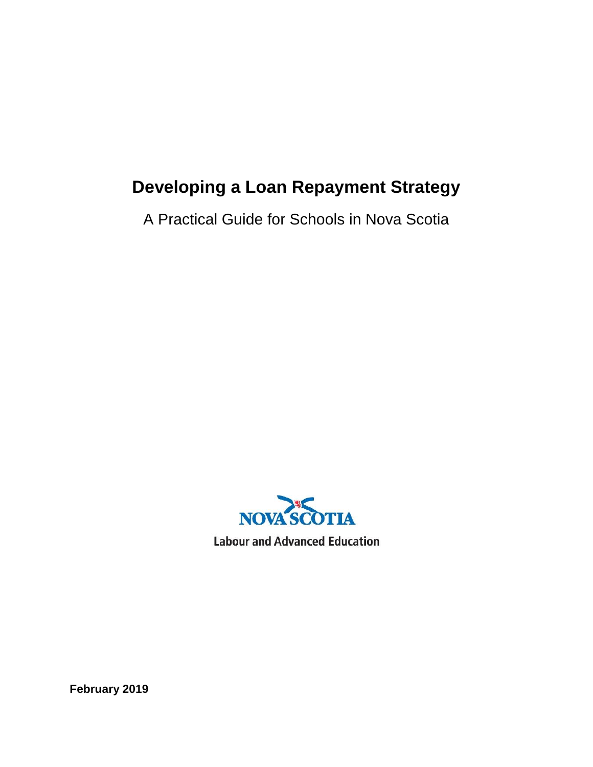# **Developing a Loan Repayment Strategy**

A Practical Guide for Schools in Nova Scotia



**Labour and Advanced Education** 

**February 2019**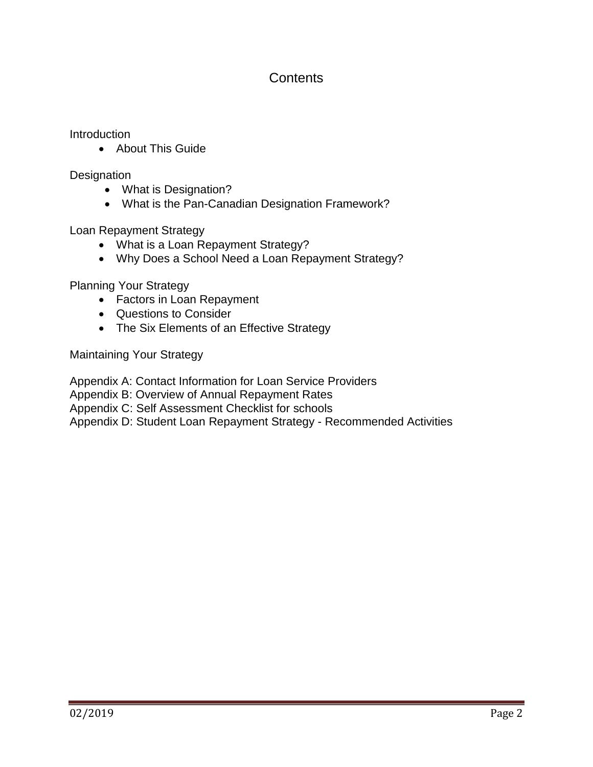# **Contents**

Introduction

• About This Guide

**Designation** 

- What is Designation?
- What is the Pan-Canadian Designation Framework?

Loan Repayment Strategy

- What is a Loan Repayment Strategy?
- Why Does a School Need a Loan Repayment Strategy?

Planning Your Strategy

- Factors in Loan Repayment
- Questions to Consider
- The Six Elements of an Effective Strategy

Maintaining Your Strategy

Appendix A: Contact Information for Loan Service Providers

Appendix B: Overview of Annual Repayment Rates

Appendix C: Self Assessment Checklist for schools

Appendix D: Student Loan Repayment Strategy - Recommended Activities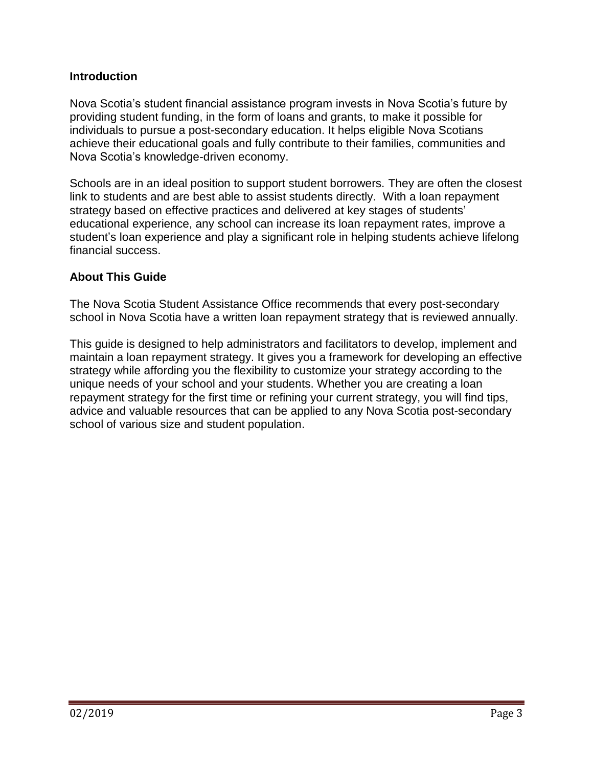# **Introduction**

Nova Scotia's student financial assistance program invests in Nova Scotia's future by providing student funding, in the form of loans and grants, to make it possible for individuals to pursue a post-secondary education. It helps eligible Nova Scotians achieve their educational goals and fully contribute to their families, communities and Nova Scotia's knowledge-driven economy.

Schools are in an ideal position to support student borrowers. They are often the closest link to students and are best able to assist students directly. With a loan repayment strategy based on effective practices and delivered at key stages of students' educational experience, any school can increase its loan repayment rates, improve a student's loan experience and play a significant role in helping students achieve lifelong financial success.

# **About This Guide**

The Nova Scotia Student Assistance Office recommends that every post-secondary school in Nova Scotia have a written loan repayment strategy that is reviewed annually.

This guide is designed to help administrators and facilitators to develop, implement and maintain a loan repayment strategy. It gives you a framework for developing an effective strategy while affording you the flexibility to customize your strategy according to the unique needs of your school and your students. Whether you are creating a loan repayment strategy for the first time or refining your current strategy, you will find tips, advice and valuable resources that can be applied to any Nova Scotia post-secondary school of various size and student population.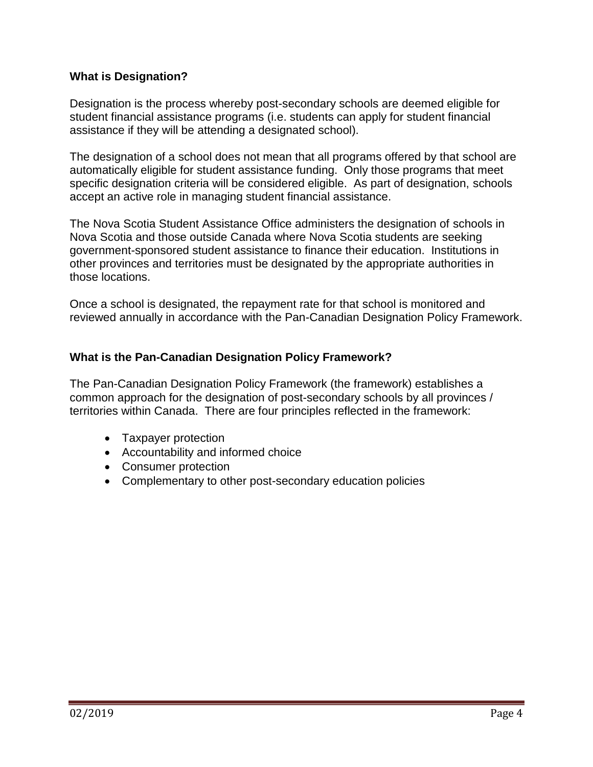# **What is Designation?**

Designation is the process whereby post-secondary schools are deemed eligible for student financial assistance programs (i.e. students can apply for student financial assistance if they will be attending a designated school).

The designation of a school does not mean that all programs offered by that school are automatically eligible for student assistance funding. Only those programs that meet specific designation criteria will be considered eligible. As part of designation, schools accept an active role in managing student financial assistance.

The Nova Scotia Student Assistance Office administers the designation of schools in Nova Scotia and those outside Canada where Nova Scotia students are seeking government-sponsored student assistance to finance their education. Institutions in other provinces and territories must be designated by the appropriate authorities in those locations.

Once a school is designated, the repayment rate for that school is monitored and reviewed annually in accordance with the Pan-Canadian Designation Policy Framework.

# **What is the Pan-Canadian Designation Policy Framework?**

The Pan-Canadian Designation Policy Framework (the framework) establishes a common approach for the designation of post-secondary schools by all provinces / territories within Canada. There are four principles reflected in the framework:

- Taxpayer protection
- Accountability and informed choice
- Consumer protection
- Complementary to other post-secondary education policies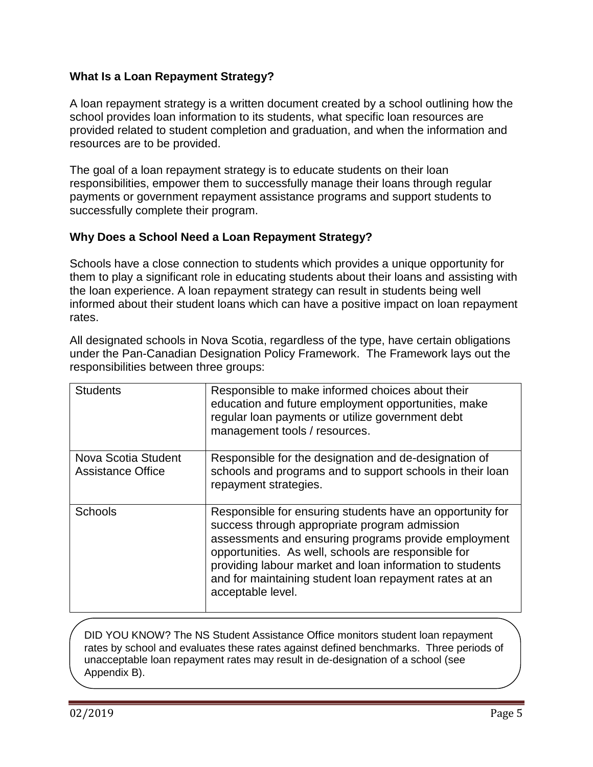# **What Is a Loan Repayment Strategy?**

A loan repayment strategy is a written document created by a school outlining how the school provides loan information to its students, what specific loan resources are provided related to student completion and graduation, and when the information and resources are to be provided.

The goal of a loan repayment strategy is to educate students on their loan responsibilities, empower them to successfully manage their loans through regular payments or government repayment assistance programs and support students to successfully complete their program.

# **Why Does a School Need a Loan Repayment Strategy?**

Schools have a close connection to students which provides a unique opportunity for them to play a significant role in educating students about their loans and assisting with the loan experience. A loan repayment strategy can result in students being well informed about their student loans which can have a positive impact on loan repayment rates.

All designated schools in Nova Scotia, regardless of the type, have certain obligations under the Pan-Canadian Designation Policy Framework. The Framework lays out the responsibilities between three groups:

| <b>Students</b>                                 | Responsible to make informed choices about their<br>education and future employment opportunities, make<br>regular loan payments or utilize government debt<br>management tools / resources.                                                                                                                                                                         |
|-------------------------------------------------|----------------------------------------------------------------------------------------------------------------------------------------------------------------------------------------------------------------------------------------------------------------------------------------------------------------------------------------------------------------------|
| Nova Scotia Student<br><b>Assistance Office</b> | Responsible for the designation and de-designation of<br>schools and programs and to support schools in their loan<br>repayment strategies.                                                                                                                                                                                                                          |
| <b>Schools</b>                                  | Responsible for ensuring students have an opportunity for<br>success through appropriate program admission<br>assessments and ensuring programs provide employment<br>opportunities. As well, schools are responsible for<br>providing labour market and loan information to students<br>and for maintaining student loan repayment rates at an<br>acceptable level. |

DID YOU KNOW? The NS Student Assistance Office monitors student loan repayment rates by school and evaluates these rates against defined benchmarks. Three periods of unacceptable loan repayment rates may result in de-designation of a school (see Appendix B).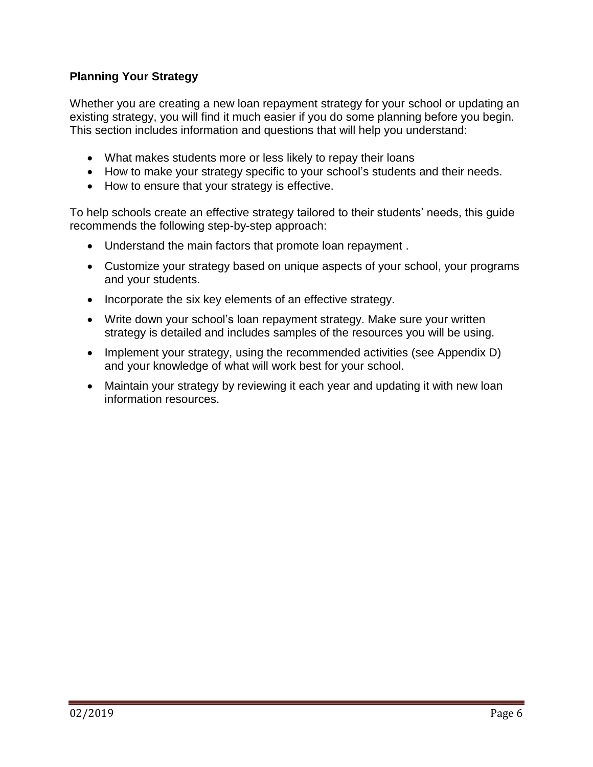# **Planning Your Strategy**

Whether you are creating a new loan repayment strategy for your school or updating an existing strategy, you will find it much easier if you do some planning before you begin. This section includes information and questions that will help you understand:

- What makes students more or less likely to repay their loans
- How to make your strategy specific to your school's students and their needs.
- How to ensure that your strategy is effective.

To help schools create an effective strategy tailored to their students' needs, this guide recommends the following step-by-step approach:

- Understand the main factors that promote loan repayment .
- Customize your strategy based on unique aspects of your school, your programs and your students.
- Incorporate the six key elements of an effective strategy.
- Write down your school's loan repayment strategy. Make sure your written strategy is detailed and includes samples of the resources you will be using.
- Implement your strategy, using the recommended activities (see Appendix D) and your knowledge of what will work best for your school.
- Maintain your strategy by reviewing it each year and updating it with new loan information resources.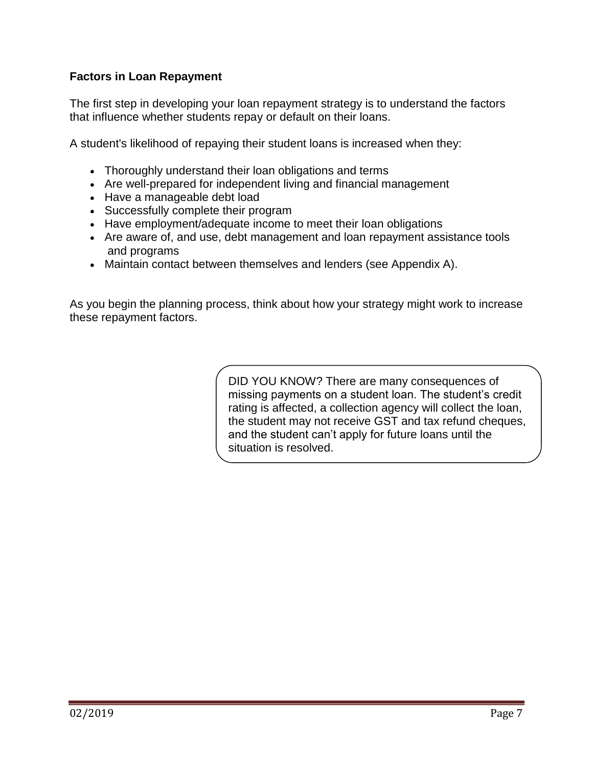# **Factors in Loan Repayment**

The first step in developing your loan repayment strategy is to understand the factors that influence whether students repay or default on their loans.

A student's likelihood of repaying their student loans is increased when they:

- Thoroughly understand their loan obligations and terms
- Are well-prepared for independent living and financial management
- Have a manageable debt load
- Successfully complete their program
- Have employment/adequate income to meet their loan obligations
- Are aware of, and use, debt management and loan repayment assistance tools and programs
- Maintain contact between themselves and lenders (see Appendix A).

As you begin the planning process, think about how your strategy might work to increase these repayment factors.

> DID YOU KNOW? There are many consequences of missing payments on a student loan. The student's credit rating is affected, a collection agency will collect the loan, the student may not receive GST and tax refund cheques, and the student can't apply for future loans until the situation is resolved.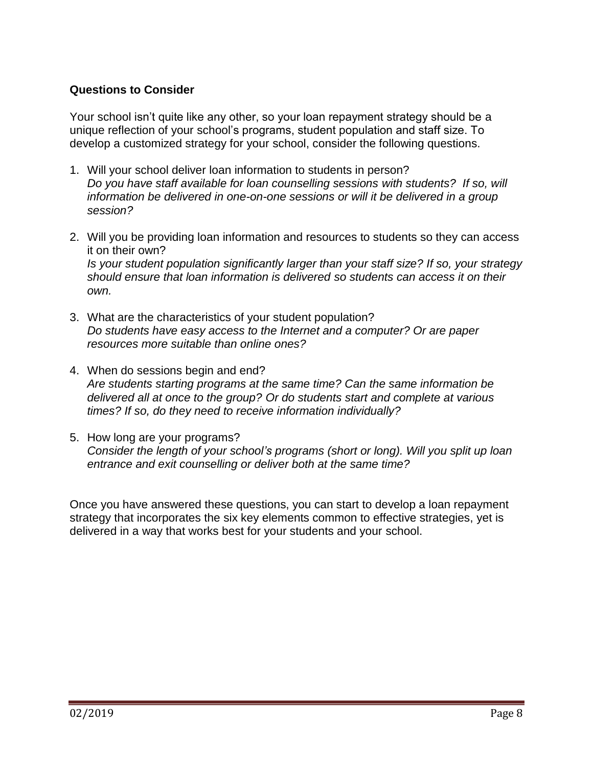# **Questions to Consider**

Your school isn't quite like any other, so your loan repayment strategy should be a unique reflection of your school's programs, student population and staff size. To develop a customized strategy for your school, consider the following questions.

- 1. Will your school deliver loan information to students in person? *Do you have staff available for loan counselling sessions with students? If so, will information be delivered in one-on-one sessions or will it be delivered in a group session?*
- 2. Will you be providing loan information and resources to students so they can access it on their own? *Is your student population significantly larger than your staff size? If so, your strategy should ensure that loan information is delivered so students can access it on their own.*
- 3. What are the characteristics of your student population? *Do students have easy access to the Internet and a computer? Or are paper resources more suitable than online ones?*
- 4. When do sessions begin and end? *Are students starting programs at the same time? Can the same information be delivered all at once to the group? Or do students start and complete at various times? If so, do they need to receive information individually?*
- 5. How long are your programs? *Consider the length of your school's programs (short or long). Will you split up loan entrance and exit counselling or deliver both at the same time?*

Once you have answered these questions, you can start to develop a loan repayment strategy that incorporates the six key elements common to effective strategies, yet is delivered in a way that works best for your students and your school.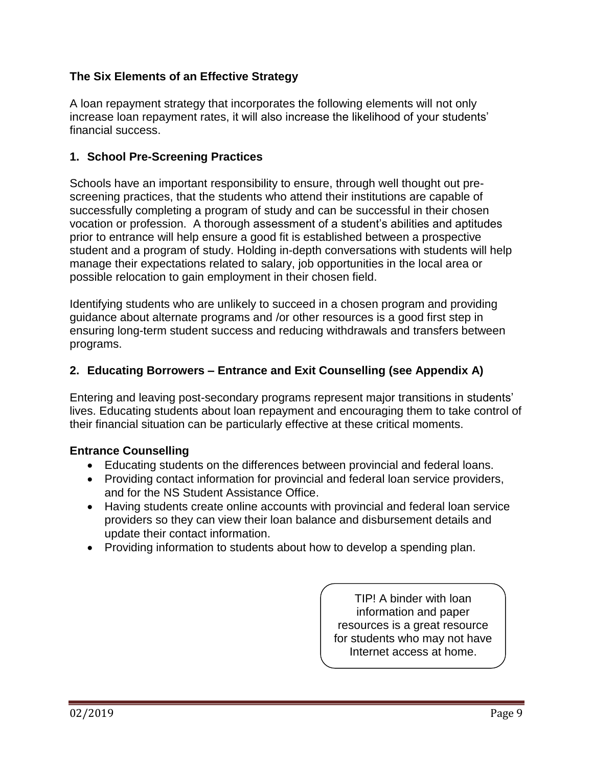# **The Six Elements of an Effective Strategy**

A loan repayment strategy that incorporates the following elements will not only increase loan repayment rates, it will also increase the likelihood of your students' financial success.

# **1. School Pre-Screening Practices**

Schools have an important responsibility to ensure, through well thought out prescreening practices, that the students who attend their institutions are capable of successfully completing a program of study and can be successful in their chosen vocation or profession. A thorough assessment of a student's abilities and aptitudes prior to entrance will help ensure a good fit is established between a prospective student and a program of study. Holding in-depth conversations with students will help manage their expectations related to salary, job opportunities in the local area or possible relocation to gain employment in their chosen field.

Identifying students who are unlikely to succeed in a chosen program and providing guidance about alternate programs and /or other resources is a good first step in ensuring long-term student success and reducing withdrawals and transfers between programs.

# **2. Educating Borrowers – Entrance and Exit Counselling (see Appendix A)**

Entering and leaving post-secondary programs represent major transitions in students' lives. Educating students about loan repayment and encouraging them to take control of their financial situation can be particularly effective at these critical moments.

#### **Entrance Counselling**

- Educating students on the differences between provincial and federal loans.
- Providing contact information for provincial and federal loan service providers, and for the NS Student Assistance Office.
- Having students create online accounts with provincial and federal loan service providers so they can view their loan balance and disbursement details and update their contact information.
- Providing information to students about how to develop a spending plan.

TIP! A binder with loan information and paper resources is a great resource for students who may not have Internet access at home.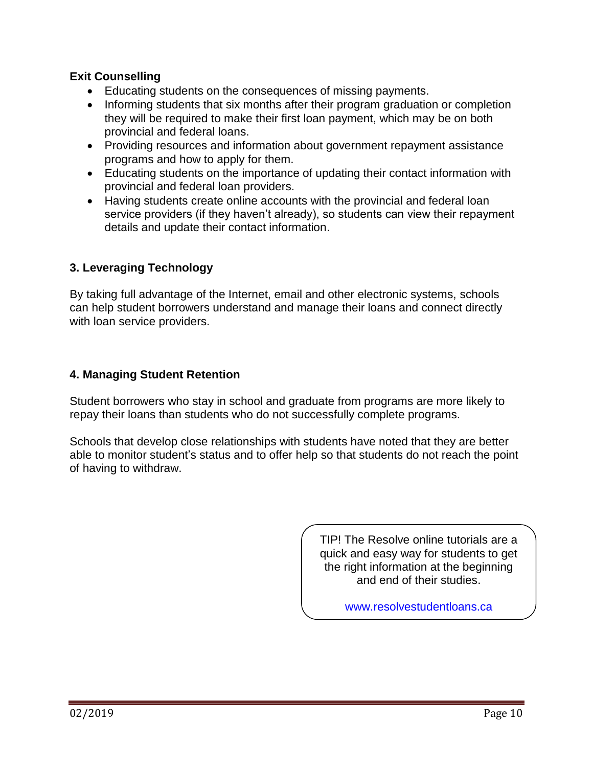# **Exit Counselling**

- Educating students on the consequences of missing payments.
- Informing students that six months after their program graduation or completion they will be required to make their first loan payment, which may be on both provincial and federal loans.
- Providing resources and information about government repayment assistance programs and how to apply for them.
- Educating students on the importance of updating their contact information with provincial and federal loan providers.
- Having students create online accounts with the provincial and federal loan service providers (if they haven't already), so students can view their repayment details and update their contact information.

# **3. Leveraging Technology**

By taking full advantage of the Internet, email and other electronic systems, schools can help student borrowers understand and manage their loans and connect directly with loan service providers.

# **4. Managing Student Retention**

Student borrowers who stay in school and graduate from programs are more likely to repay their loans than students who do not successfully complete programs.

Schools that develop close relationships with students have noted that they are better able to monitor student's status and to offer help so that students do not reach the point of having to withdraw.

> TIP! The Resolve online tutorials are a quick and easy way for students to get the right information at the beginning and end of their studies.

> > [www.resolvestudentloans.ca](https://www.resolvestudentloans.ca/favicon.ico)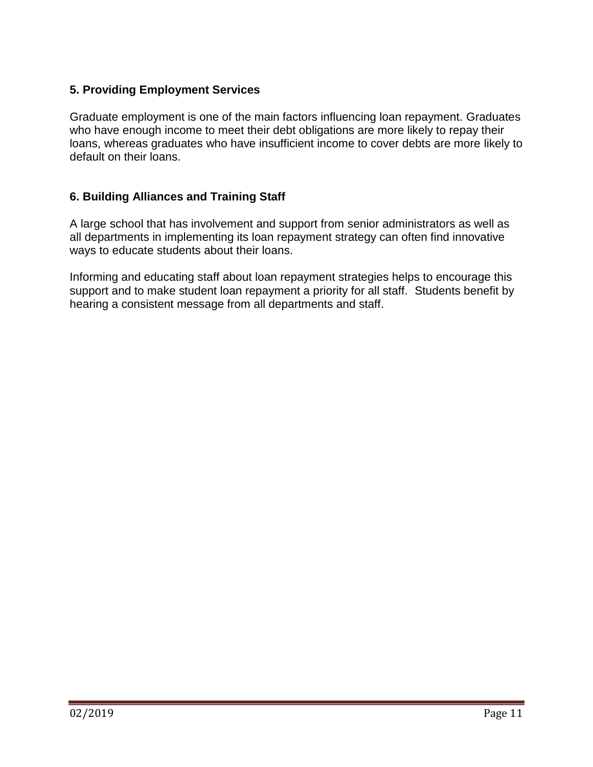# **5. Providing Employment Services**

Graduate employment is one of the main factors influencing loan repayment. Graduates who have enough income to meet their debt obligations are more likely to repay their loans, whereas graduates who have insufficient income to cover debts are more likely to default on their loans.

# **6. Building Alliances and Training Staff**

A large school that has involvement and support from senior administrators as well as all departments in implementing its loan repayment strategy can often find innovative ways to educate students about their loans.

Informing and educating staff about loan repayment strategies helps to encourage this support and to make student loan repayment a priority for all staff. Students benefit by hearing a consistent message from all departments and staff.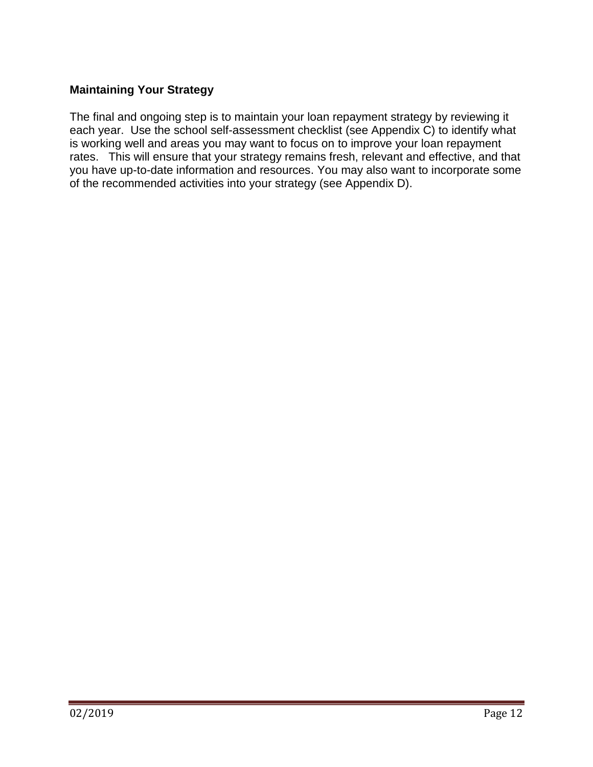# **Maintaining Your Strategy**

The final and ongoing step is to maintain your loan repayment strategy by reviewing it each year. Use the school self-assessment checklist (see Appendix C) to identify what is working well and areas you may want to focus on to improve your loan repayment rates. This will ensure that your strategy remains fresh, relevant and effective, and that you have up-to-date information and resources. You may also want to incorporate some of the recommended activities into your strategy (see Appendix D).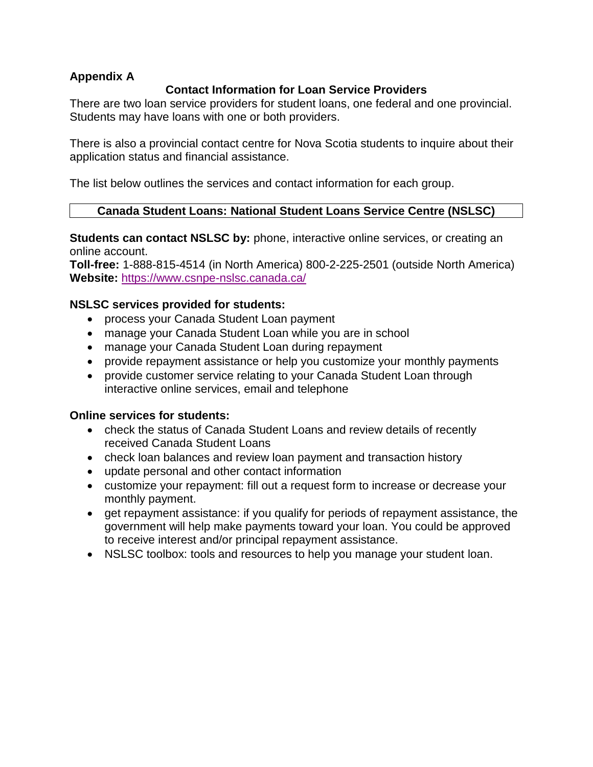# **Appendix A**

# **Contact Information for Loan Service Providers**

There are two loan service providers for student loans, one federal and one provincial. Students may have loans with one or both providers.

There is also a provincial contact centre for Nova Scotia students to inquire about their application status and financial assistance.

The list below outlines the services and contact information for each group.

#### **Canada Student Loans: National Student Loans Service Centre (NSLSC)**

**Students can contact NSLSC by:** phone, interactive online services, or creating an online account.

**Toll-free:** 1-888-815-4514 (in North America) 800-2-225-2501 (outside North America) **Website:** <https://www.csnpe-nslsc.canada.ca/>

#### **NSLSC services provided for students:**

- process your Canada Student Loan payment
- manage your Canada Student Loan while you are in school
- manage your Canada Student Loan during repayment
- provide repayment assistance or help you customize your monthly payments
- provide customer service relating to your Canada Student Loan through interactive online services, email and telephone

#### **Online services for students:**

- check the status of Canada Student Loans and review details of recently received Canada Student Loans
- check loan balances and review loan payment and transaction history
- update personal and other contact information
- customize your repayment: fill out a request form to increase or decrease your monthly payment.
- get repayment assistance: if you qualify for periods of repayment assistance, the government will help make payments toward your loan. You could be approved to receive interest and/or principal repayment assistance.
- NSLSC toolbox: tools and resources to help you manage your student loan.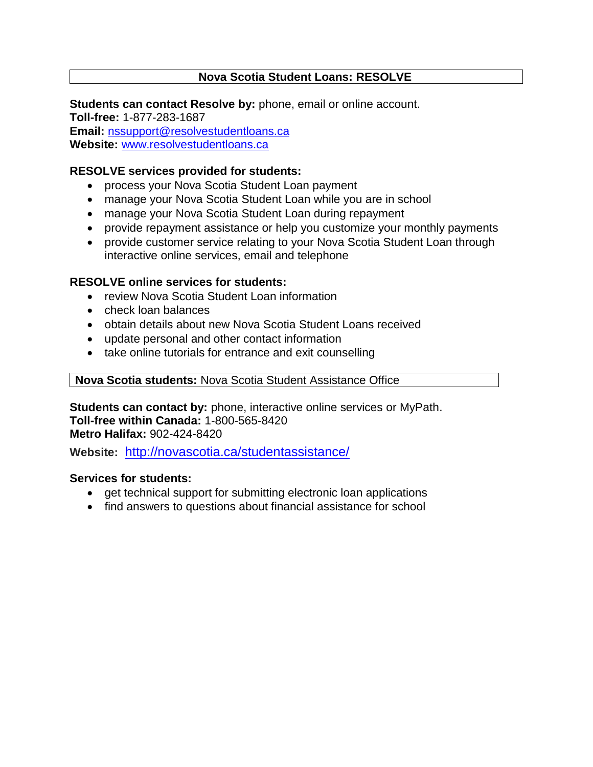# **Nova Scotia Student Loans: RESOLVE**

**Students can contact Resolve by:** phone, email or online account. **Toll-free:** 1-877-283-1687 **Email:** [nssupport@resolvestudentloans.ca](mailto:nssupport@resolvestudentloans.ca) **Website:** [www.resolvestudentloans.ca](https://www.resolvestudentloans.ca/Eng/ContactUs.aspx)

### **RESOLVE services provided for students:**

- process your Nova Scotia Student Loan payment
- manage your Nova Scotia Student Loan while you are in school
- manage your Nova Scotia Student Loan during repayment
- provide repayment assistance or help you customize your monthly payments
- provide customer service relating to your Nova Scotia Student Loan through interactive online services, email and telephone

# **RESOLVE online services for students:**

- review Nova Scotia Student Loan information
- check loan balances
- obtain details about new Nova Scotia Student Loans received
- update personal and other contact information
- take online tutorials for entrance and exit counselling

#### **Nova Scotia students:** Nova Scotia Student Assistance Office

**Students can contact by:** phone, interactive online services or MyPath. **Toll-free within Canada:** 1-800-565-8420 **Metro Halifax:** 902-424-8420

**Website:** <http://novascotia.ca/studentassistance/>

#### **Services for students:**

- get technical support for submitting electronic loan applications
- find answers to questions about financial assistance for school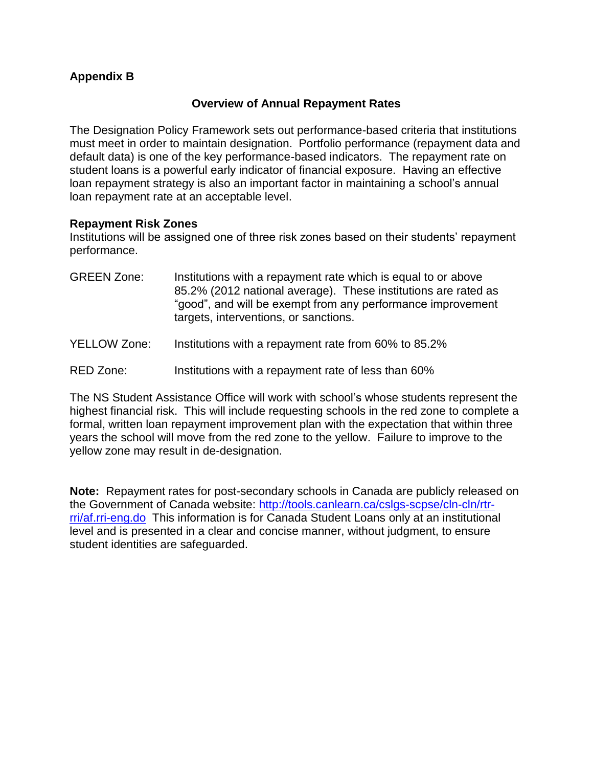# **Appendix B**

### **Overview of Annual Repayment Rates**

The Designation Policy Framework sets out performance-based criteria that institutions must meet in order to maintain designation. Portfolio performance (repayment data and default data) is one of the key performance-based indicators. The repayment rate on student loans is a powerful early indicator of financial exposure. Having an effective loan repayment strategy is also an important factor in maintaining a school's annual loan repayment rate at an acceptable level.

#### **Repayment Risk Zones**

Institutions will be assigned one of three risk zones based on their students' repayment performance.

| <b>GREEN Zone:</b>  | Institutions with a repayment rate which is equal to or above<br>85.2% (2012 national average). These institutions are rated as<br>"good", and will be exempt from any performance improvement<br>targets, interventions, or sanctions. |
|---------------------|-----------------------------------------------------------------------------------------------------------------------------------------------------------------------------------------------------------------------------------------|
| <b>YELLOW Zone:</b> | Institutions with a repayment rate from 60% to 85.2%                                                                                                                                                                                    |

RED Zone: Institutions with a repayment rate of less than 60%

The NS Student Assistance Office will work with school's whose students represent the highest financial risk. This will include requesting schools in the red zone to complete a formal, written loan repayment improvement plan with the expectation that within three years the school will move from the red zone to the yellow. Failure to improve to the yellow zone may result in de-designation.

**Note:** Repayment rates for post-secondary schools in Canada are publicly released on the Government of Canada website: [http://tools.canlearn.ca/cslgs-scpse/cln-cln/rtr](http://tools.canlearn.ca/cslgs-scpse/cln-cln/rtr-rri/af.rri-eng.do)[rri/af.rri-eng.do](http://tools.canlearn.ca/cslgs-scpse/cln-cln/rtr-rri/af.rri-eng.do) This information is for Canada Student Loans only at an institutional level and is presented in a clear and concise manner, without judgment, to ensure student identities are safeguarded.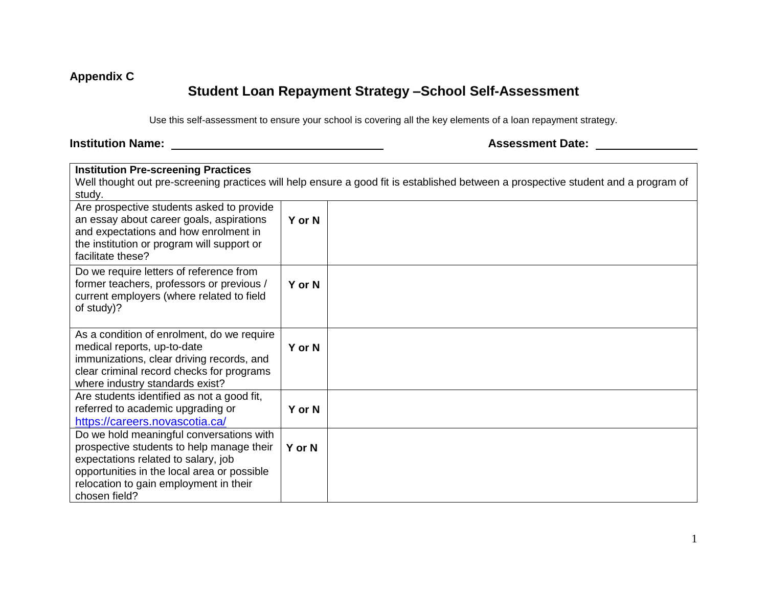# **Appendix C**

# **Student Loan Repayment Strategy –School Self-Assessment**

Use this self-assessment to ensure your school is covering all the key elements of a loan repayment strategy.

# **Institution Name: Assessment Date:**

| <b>Institution Pre-screening Practices</b>  |        |                                                                                                                                    |
|---------------------------------------------|--------|------------------------------------------------------------------------------------------------------------------------------------|
|                                             |        | Well thought out pre-screening practices will help ensure a good fit is established between a prospective student and a program of |
| study.                                      |        |                                                                                                                                    |
| Are prospective students asked to provide   |        |                                                                                                                                    |
| an essay about career goals, aspirations    | Y or N |                                                                                                                                    |
| and expectations and how enrolment in       |        |                                                                                                                                    |
| the institution or program will support or  |        |                                                                                                                                    |
| facilitate these?                           |        |                                                                                                                                    |
| Do we require letters of reference from     |        |                                                                                                                                    |
| former teachers, professors or previous /   | Y or N |                                                                                                                                    |
| current employers (where related to field   |        |                                                                                                                                    |
| of study)?                                  |        |                                                                                                                                    |
|                                             |        |                                                                                                                                    |
| As a condition of enrolment, do we require  |        |                                                                                                                                    |
| medical reports, up-to-date                 | Y or N |                                                                                                                                    |
| immunizations, clear driving records, and   |        |                                                                                                                                    |
| clear criminal record checks for programs   |        |                                                                                                                                    |
| where industry standards exist?             |        |                                                                                                                                    |
| Are students identified as not a good fit,  |        |                                                                                                                                    |
| referred to academic upgrading or           | Y or N |                                                                                                                                    |
| https://careers.novascotia.ca/              |        |                                                                                                                                    |
| Do we hold meaningful conversations with    |        |                                                                                                                                    |
| prospective students to help manage their   | Y or N |                                                                                                                                    |
| expectations related to salary, job         |        |                                                                                                                                    |
| opportunities in the local area or possible |        |                                                                                                                                    |
| relocation to gain employment in their      |        |                                                                                                                                    |
| chosen field?                               |        |                                                                                                                                    |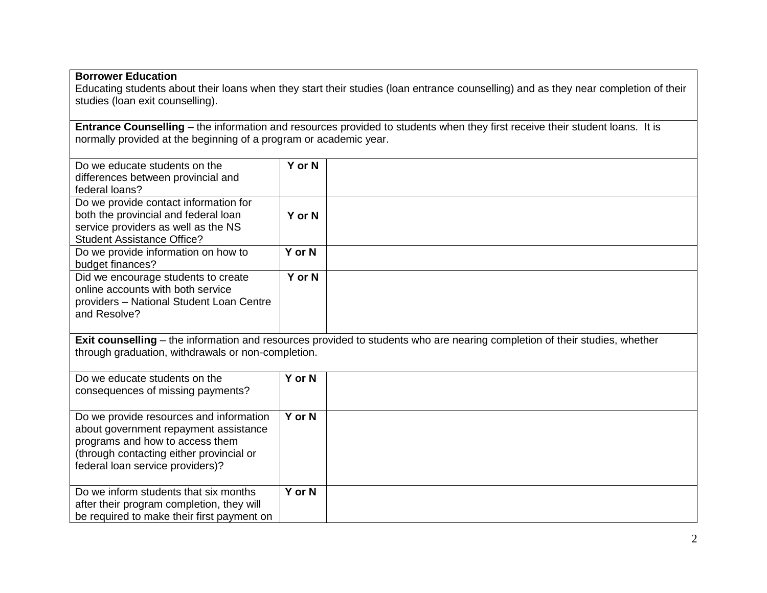# **Borrower Education**

Educating students about their loans when they start their studies (loan entrance counselling) and as they near completion of their studies (loan exit counselling).

**Entrance Counselling** – the information and resources provided to students when they first receive their student loans. It is normally provided at the beginning of a program or academic year.

| Do we educate students on the<br>differences between provincial and<br>federal loans?                                                                                                               | Y or N |  |
|-----------------------------------------------------------------------------------------------------------------------------------------------------------------------------------------------------|--------|--|
| Do we provide contact information for<br>both the provincial and federal loan<br>service providers as well as the NS<br><b>Student Assistance Office?</b>                                           | Y or N |  |
| Do we provide information on how to<br>budget finances?                                                                                                                                             | Y or N |  |
| Did we encourage students to create<br>online accounts with both service<br>providers - National Student Loan Centre<br>and Resolve?                                                                | Y or N |  |
| Exit counselling – the information and resources provided to students who are nearing completion of their studies, whether<br>through graduation, withdrawals or non-completion.                    |        |  |
| Do we educate students on the<br>consequences of missing payments?                                                                                                                                  | Y or N |  |
| Do we provide resources and information<br>about government repayment assistance<br>programs and how to access them<br>(through contacting either provincial or<br>federal loan service providers)? | Y or N |  |
| Do we inform students that six months<br>after their program completion, they will<br>be required to make their first payment on                                                                    | Y or N |  |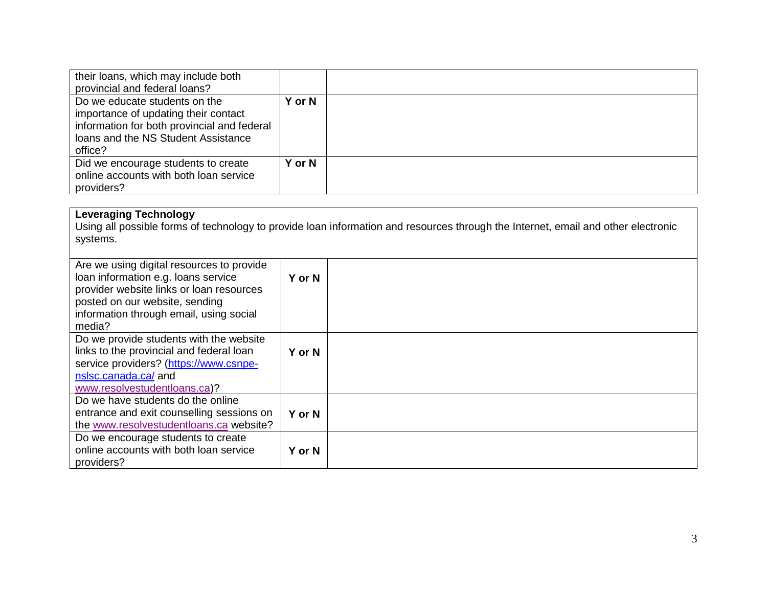| their loans, which may include both<br>provincial and federal loans?                                                                                                   |        |  |
|------------------------------------------------------------------------------------------------------------------------------------------------------------------------|--------|--|
| Do we educate students on the<br>importance of updating their contact<br>information for both provincial and federal<br>loans and the NS Student Assistance<br>office? | Y or N |  |
| Did we encourage students to create<br>online accounts with both loan service<br>providers?                                                                            | Y or N |  |

#### **Leveraging Technology**

Using all possible forms of technology to provide loan information and resources through the Internet, email and other electronic systems.

| Are we using digital resources to provide<br>loan information e.g. loans service<br>provider website links or loan resources<br>posted on our website, sending<br>information through email, using social<br>media? | Y or N |  |
|---------------------------------------------------------------------------------------------------------------------------------------------------------------------------------------------------------------------|--------|--|
| Do we provide students with the website<br>links to the provincial and federal loan<br>service providers? (https://www.csnpe-<br>nslsc.canada.ca/ and<br>www.resolvestudentloans.ca)?                               | Y or N |  |
| Do we have students do the online<br>entrance and exit counselling sessions on<br>the www.resolvestudentloans.ca website?                                                                                           | Y or N |  |
| Do we encourage students to create<br>online accounts with both loan service<br>providers?                                                                                                                          | Y or N |  |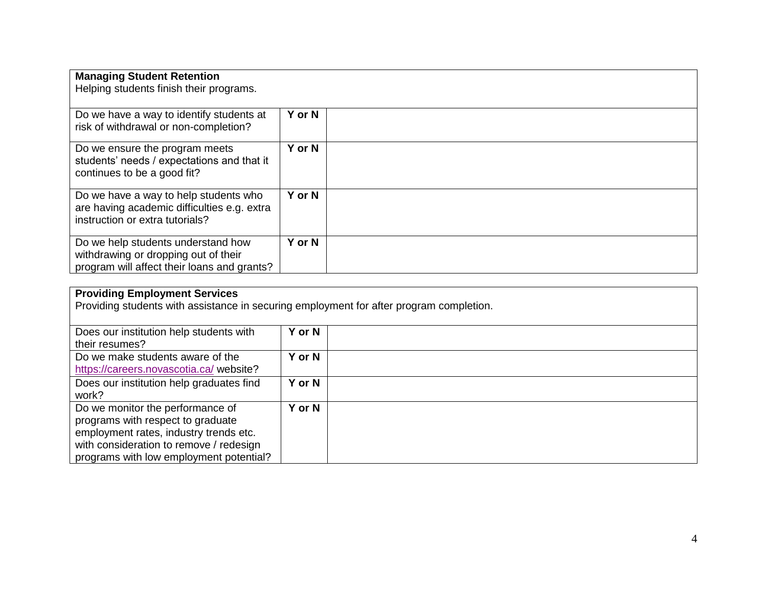| <b>Managing Student Retention</b><br>Helping students finish their programs.                                              |               |  |
|---------------------------------------------------------------------------------------------------------------------------|---------------|--|
| Do we have a way to identify students at<br>risk of withdrawal or non-completion?                                         | <b>Y</b> or N |  |
| Do we ensure the program meets<br>students' needs / expectations and that it<br>continues to be a good fit?               | Y or N        |  |
| Do we have a way to help students who<br>are having academic difficulties e.g. extra<br>instruction or extra tutorials?   | Y or N        |  |
| Do we help students understand how<br>withdrawing or dropping out of their<br>program will affect their loans and grants? | Y or N        |  |

#### **Providing Employment Services**

Providing students with assistance in securing employment for after program completion.

| Does our institution help students with<br>their resumes?                                                                                                                                             | Y or N |  |
|-------------------------------------------------------------------------------------------------------------------------------------------------------------------------------------------------------|--------|--|
| Do we make students aware of the<br>https://careers.novascotia.ca/ website?                                                                                                                           | Y or N |  |
| Does our institution help graduates find<br>work?                                                                                                                                                     | Y or N |  |
| Do we monitor the performance of<br>programs with respect to graduate<br>employment rates, industry trends etc.<br>with consideration to remove / redesign<br>programs with low employment potential? | Y or N |  |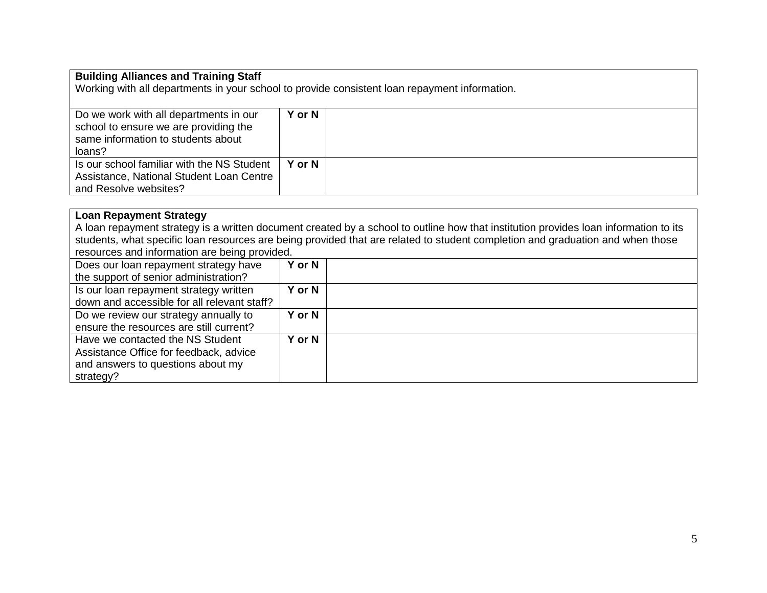### **Building Alliances and Training Staff**

Working with all departments in your school to provide consistent loan repayment information.

| Do we work with all departments in our<br>school to ensure we are providing the<br>same information to students about | Y or N |  |
|-----------------------------------------------------------------------------------------------------------------------|--------|--|
|                                                                                                                       |        |  |
| loans?                                                                                                                |        |  |
| Is our school familiar with the NS Student                                                                            | Y or N |  |
| Assistance, National Student Loan Centre                                                                              |        |  |
| and Resolve websites?                                                                                                 |        |  |

### **Loan Repayment Strategy**

A loan repayment strategy is a written document created by a school to outline how that institution provides loan information to its students, what specific loan resources are being provided that are related to student completion and graduation and when those resources and information are being provided.

| Does our loan repayment strategy have       | Y or N        |  |
|---------------------------------------------|---------------|--|
| the support of senior administration?       |               |  |
| Is our loan repayment strategy written      | Y or N        |  |
| down and accessible for all relevant staff? |               |  |
| Do we review our strategy annually to       | <b>Y</b> or N |  |
| ensure the resources are still current?     |               |  |
| Have we contacted the NS Student            | Y or N        |  |
| Assistance Office for feedback, advice      |               |  |
| and answers to questions about my           |               |  |
| strategy?                                   |               |  |
|                                             |               |  |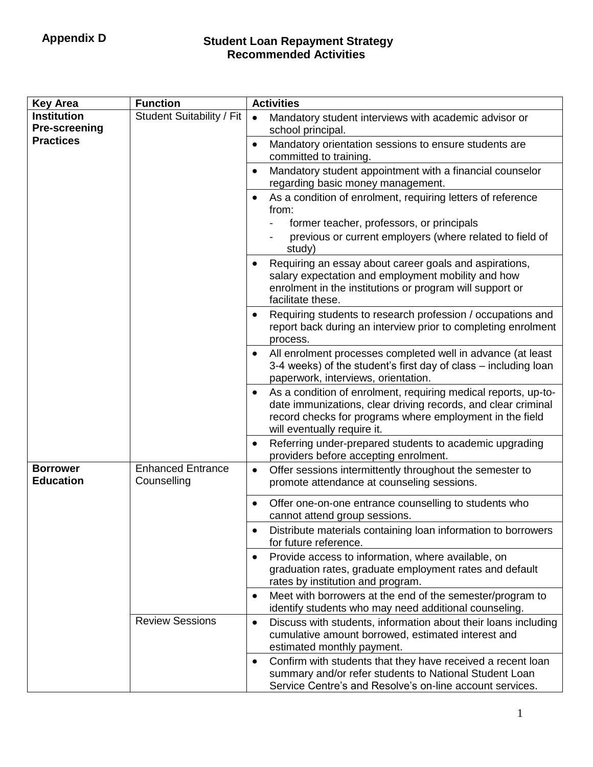# **Student Loan Repayment Strategy Recommended Activities**

| <b>Key Area</b>                            | <b>Function</b>                         | <b>Activities</b>                                                                                                                                                                                                          |
|--------------------------------------------|-----------------------------------------|----------------------------------------------------------------------------------------------------------------------------------------------------------------------------------------------------------------------------|
| <b>Institution</b><br><b>Pre-screening</b> | Student Suitability / Fit               | Mandatory student interviews with academic advisor or<br>$\bullet$<br>school principal.                                                                                                                                    |
| <b>Practices</b>                           |                                         | Mandatory orientation sessions to ensure students are<br>committed to training.                                                                                                                                            |
|                                            |                                         | Mandatory student appointment with a financial counselor<br>regarding basic money management.                                                                                                                              |
|                                            |                                         | As a condition of enrolment, requiring letters of reference<br>from:<br>former teacher, professors, or principals<br>previous or current employers (where related to field of<br>study)                                    |
|                                            |                                         | Requiring an essay about career goals and aspirations,<br>salary expectation and employment mobility and how<br>enrolment in the institutions or program will support or<br>facilitate these.                              |
|                                            |                                         | Requiring students to research profession / occupations and<br>report back during an interview prior to completing enrolment<br>process.                                                                                   |
|                                            |                                         | All enrolment processes completed well in advance (at least<br>3-4 weeks) of the student's first day of class – including loan<br>paperwork, interviews, orientation.                                                      |
|                                            |                                         | As a condition of enrolment, requiring medical reports, up-to-<br>date immunizations, clear driving records, and clear criminal<br>record checks for programs where employment in the field<br>will eventually require it. |
|                                            |                                         | Referring under-prepared students to academic upgrading<br>providers before accepting enrolment.                                                                                                                           |
| <b>Borrower</b><br><b>Education</b>        | <b>Enhanced Entrance</b><br>Counselling | Offer sessions intermittently throughout the semester to<br>$\bullet$<br>promote attendance at counseling sessions.                                                                                                        |
|                                            |                                         | Offer one-on-one entrance counselling to students who<br>cannot attend group sessions.                                                                                                                                     |
|                                            |                                         | Distribute materials containing loan information to borrowers<br>for future reference.                                                                                                                                     |
|                                            |                                         | Provide access to information, where available, on<br>graduation rates, graduate employment rates and default<br>rates by institution and program.                                                                         |
|                                            |                                         | Meet with borrowers at the end of the semester/program to<br>identify students who may need additional counseling.                                                                                                         |
|                                            | <b>Review Sessions</b>                  | Discuss with students, information about their loans including<br>$\bullet$<br>cumulative amount borrowed, estimated interest and<br>estimated monthly payment.                                                            |
|                                            |                                         | Confirm with students that they have received a recent loan<br>summary and/or refer students to National Student Loan<br>Service Centre's and Resolve's on-line account services.                                          |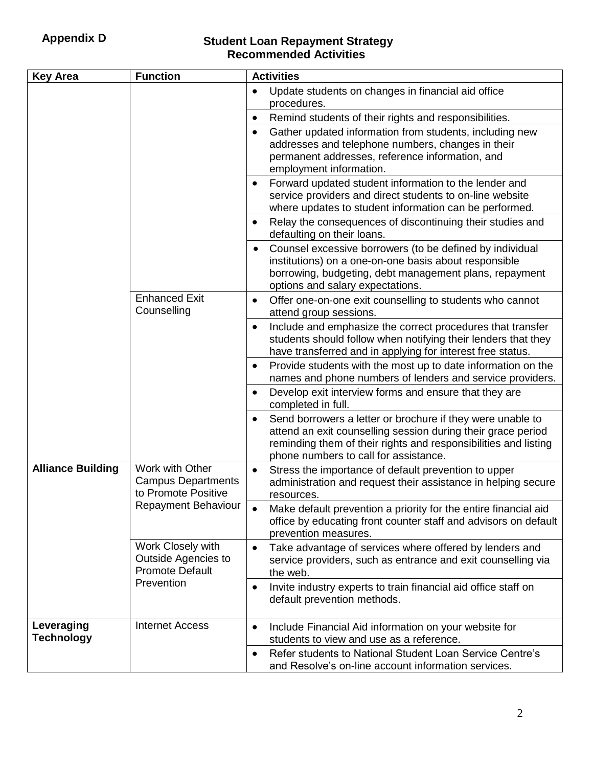# **Student Loan Repayment Strategy Recommended Activities**

| <b>Key Area</b>                                                                                                                                                                                            | <b>Function</b>                                                                                                                                            | <b>Activities</b>                                                                                                                                                                                                                      |
|------------------------------------------------------------------------------------------------------------------------------------------------------------------------------------------------------------|------------------------------------------------------------------------------------------------------------------------------------------------------------|----------------------------------------------------------------------------------------------------------------------------------------------------------------------------------------------------------------------------------------|
|                                                                                                                                                                                                            |                                                                                                                                                            | Update students on changes in financial aid office<br>procedures.                                                                                                                                                                      |
|                                                                                                                                                                                                            |                                                                                                                                                            | Remind students of their rights and responsibilities.                                                                                                                                                                                  |
|                                                                                                                                                                                                            |                                                                                                                                                            | Gather updated information from students, including new<br>addresses and telephone numbers, changes in their<br>permanent addresses, reference information, and<br>employment information.                                             |
|                                                                                                                                                                                                            |                                                                                                                                                            | Forward updated student information to the lender and<br>service providers and direct students to on-line website<br>where updates to student information can be performed.                                                            |
|                                                                                                                                                                                                            |                                                                                                                                                            | Relay the consequences of discontinuing their studies and<br>defaulting on their loans.                                                                                                                                                |
|                                                                                                                                                                                                            |                                                                                                                                                            | Counsel excessive borrowers (to be defined by individual<br>institutions) on a one-on-one basis about responsible<br>borrowing, budgeting, debt management plans, repayment<br>options and salary expectations.                        |
|                                                                                                                                                                                                            | <b>Enhanced Exit</b><br>Counselling                                                                                                                        | Offer one-on-one exit counselling to students who cannot<br>attend group sessions.                                                                                                                                                     |
|                                                                                                                                                                                                            |                                                                                                                                                            | Include and emphasize the correct procedures that transfer<br>students should follow when notifying their lenders that they<br>have transferred and in applying for interest free status.                                              |
|                                                                                                                                                                                                            |                                                                                                                                                            | Provide students with the most up to date information on the<br>names and phone numbers of lenders and service providers.                                                                                                              |
|                                                                                                                                                                                                            |                                                                                                                                                            | Develop exit interview forms and ensure that they are<br>completed in full.                                                                                                                                                            |
|                                                                                                                                                                                                            |                                                                                                                                                            | Send borrowers a letter or brochure if they were unable to<br>attend an exit counselling session during their grace period<br>reminding them of their rights and responsibilities and listing<br>phone numbers to call for assistance. |
| <b>Alliance Building</b><br>Work with Other<br><b>Campus Departments</b><br>to Promote Positive<br><b>Repayment Behaviour</b><br>Work Closely with<br><b>Outside Agencies to</b><br><b>Promote Default</b> | Stress the importance of default prevention to upper<br>administration and request their assistance in helping secure<br>resources.                        |                                                                                                                                                                                                                                        |
|                                                                                                                                                                                                            | Make default prevention a priority for the entire financial aid<br>office by educating front counter staff and advisors on default<br>prevention measures. |                                                                                                                                                                                                                                        |
|                                                                                                                                                                                                            | Take advantage of services where offered by lenders and<br>$\bullet$<br>service providers, such as entrance and exit counselling via<br>the web.           |                                                                                                                                                                                                                                        |
|                                                                                                                                                                                                            | Prevention                                                                                                                                                 | Invite industry experts to train financial aid office staff on<br>default prevention methods.                                                                                                                                          |
| Leveraging<br><b>Technology</b>                                                                                                                                                                            | <b>Internet Access</b>                                                                                                                                     | Include Financial Aid information on your website for<br>$\bullet$<br>students to view and use as a reference.                                                                                                                         |
|                                                                                                                                                                                                            |                                                                                                                                                            | Refer students to National Student Loan Service Centre's<br>and Resolve's on-line account information services.                                                                                                                        |